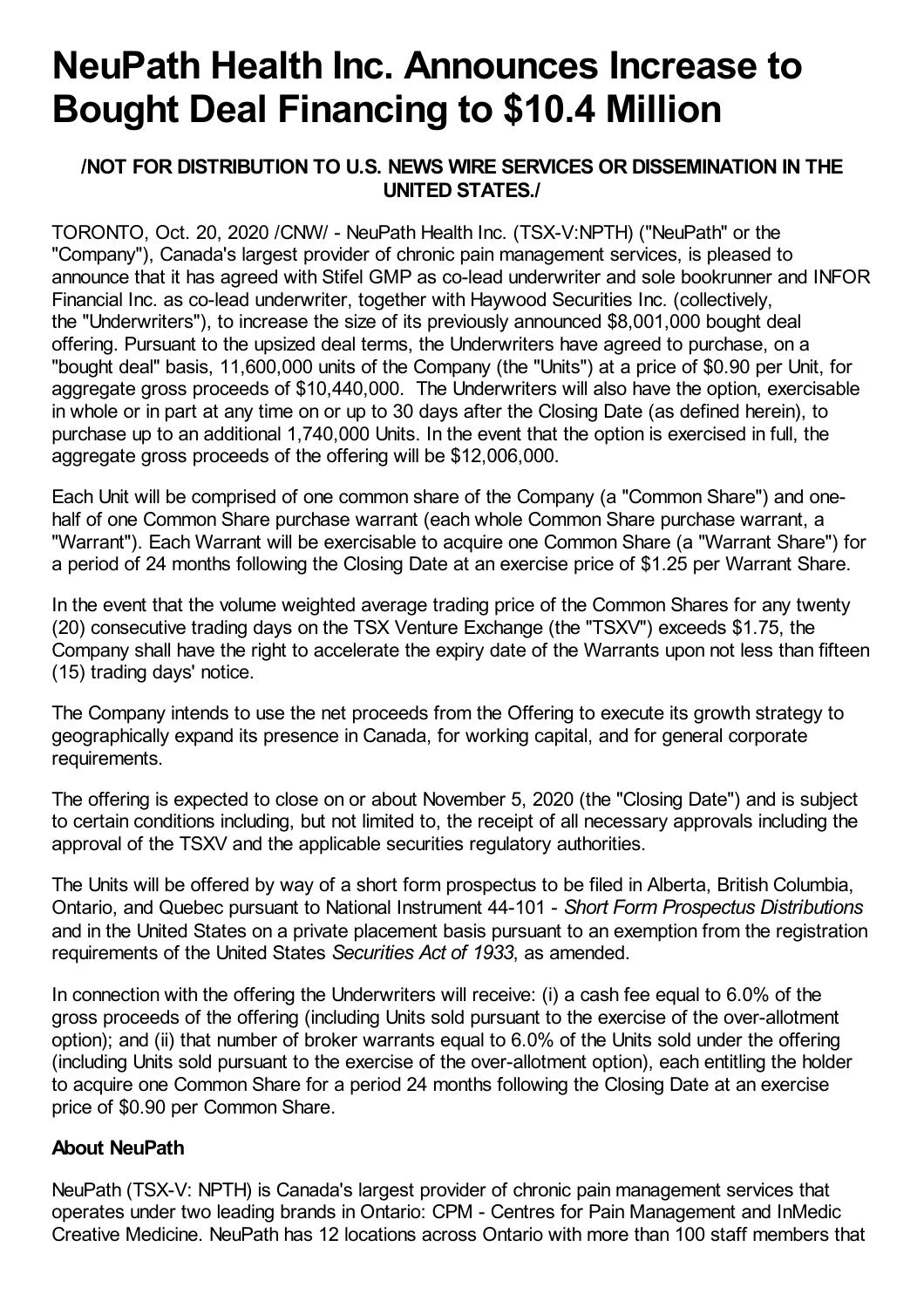## **NeuPath Health Inc. Announces Increase to Bought Deal Financing to \$10.4 Million**

## **/NOT FOR DISTRIBUTION TO U.S. NEWS WIRE SERVICES OR DISSEMINATION IN THE UNITED STATES./**

TORONTO, Oct. 20, 2020 /CNW/ - NeuPath Health Inc. (TSX-V:NPTH) ("NeuPath" or the "Company"), Canada's largest provider of chronic pain management services, is pleased to announce that it has agreed with Stifel GMP as co-lead underwriter and sole bookrunner and INFOR Financial Inc. as co-lead underwriter, together with Haywood Securities Inc. (collectively, the "Underwriters"), to increase the size of its previously announced \$8,001,000 bought deal offering. Pursuant to the upsized deal terms, the Underwriters have agreed to purchase, on a "bought deal" basis, 11,600,000 units of the Company (the "Units") at a price of \$0.90 per Unit, for aggregate gross proceeds of \$10,440,000. The Underwriters will also have the option, exercisable in whole or in part at any time on or up to 30 days after the Closing Date (as defined herein), to purchase up to an additional 1,740,000 Units. In the event that the option is exercised in full, the aggregate gross proceeds of the offering will be \$12,006,000.

Each Unit will be comprised of one common share of the Company (a "Common Share") and onehalf of one Common Share purchase warrant (each whole Common Share purchase warrant, a "Warrant"). Each Warrant will be exercisable to acquire one Common Share (a "Warrant Share") for a period of 24 months following the Closing Date at an exercise price of \$1.25 per Warrant Share.

In the event that the volume weighted average trading price of the Common Shares for any twenty (20) consecutive trading days on the TSX Venture Exchange (the "TSXV") exceeds \$1.75, the Company shall have the right to accelerate the expiry date of the Warrants upon not less than fifteen (15) trading days' notice.

The Company intends to use the net proceeds from the Offering to execute its growth strategy to geographically expand its presence in Canada, for working capital, and for general corporate requirements.

The offering is expected to close on or about November 5, 2020 (the "Closing Date") and is subject to certain conditions including, but not limited to, the receipt of all necessary approvals including the approval of the TSXV and the applicable securities regulatory authorities.

The Units will be offered by way of a short form prospectus to be filed in Alberta, British Columbia, Ontario, and Quebec pursuant to National Instrument 44-101 - *Short Form Prospectus Distributions* and in the United States on a private placement basis pursuant to an exemption from the registration requirements of the United States *Securities Act of 1933*, as amended.

In connection with the offering the Underwriters will receive: (i) a cash fee equal to 6.0% of the gross proceeds of the offering (including Units sold pursuant to the exercise of the over-allotment option); and (ii) that number of broker warrants equal to 6.0% of the Units sold under the offering (including Units sold pursuant to the exercise of the over-allotment option), each entitling the holder to acquire one Common Share for a period 24 months following the Closing Date at an exercise price of \$0.90 per Common Share.

## **About NeuPath**

NeuPath (TSX-V: NPTH) is Canada's largest provider of chronic pain management services that operates under two leading brands in Ontario: CPM - Centres for Pain Management and InMedic Creative Medicine. NeuPath has 12 locations across Ontario with more than 100 staff members that